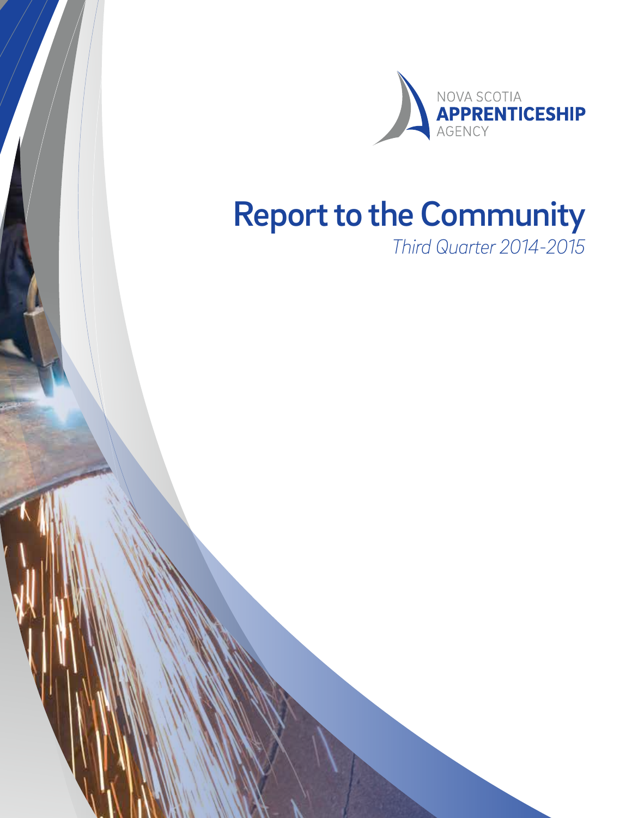

# Report to the Community

*Third Quarter 2014-2015*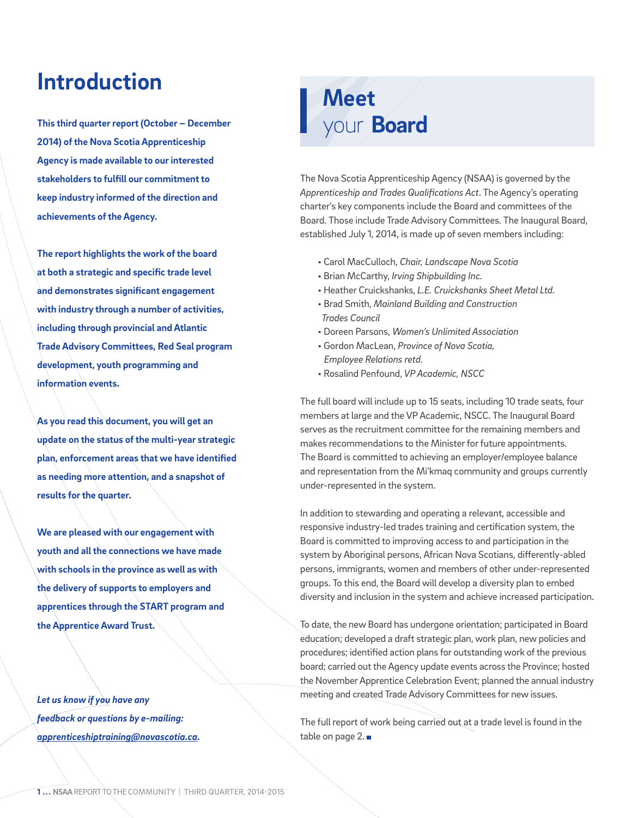### **Introduction**

**This third quarter report (October – December 2014) of the Nova Scotia Apprenticeship Agency is made available to our interested stakeholders to fulfill our commitment to keep industry informed of the direction and achievements of the Agency.** 

**The report highlights the work of the board at both a strategic and specific trade level and demonstrates significant engagement with industry through a number of activities, including through provincial and Atlantic Trade Advisory Committees, Red Seal program development, youth programming and information events.** 

**As you read this document, you will get an update on the status of the multi-year strategic plan, enforcement areas that we have identified as needing more attention, and a snapshot of results for the quarter.** 

**We are pleased with our engagement with youth and all the connections we have made with schools in the province as well as with the delivery of supports to employers and apprentices through the START program and the Apprentice Award Trust.** 

*Let us know if you have any feedback or questions by e-mailing: apprenticeshiptraining@novascotia.ca.*

## **Meet** your **Board**

The Nova Scotia Apprenticeship Agency (NSAA) is governed by the *Apprenticeship and Trades Qualifications Act*. The Agency's operating charter's key components include the Board and committees of the Board. Those include Trade Advisory Committees. The Inaugural Board, established July 1, 2014, is made up of seven members including:

- Carol MacCulloch, *Chair, Landscape Nova Scotia*
- Brian McCarthy, *Irving Shipbuilding Inc.*
- Heather Cruickshanks, *L.E. Cruickshanks Sheet Metal Ltd.*
- Brad Smith, *Mainland Building and Construction Trades Council*
- Doreen Parsons, *Women's Unlimited Association*
- Gordon MacLean, *Province of Nova Scotia, Employee Relations retd.*
- Rosalind Penfound, *VP Academic, NSCC*

The full board will include up to 15 seats, including 10 trade seats, four members at large and the VP Academic, NSCC. The Inaugural Board serves as the recruitment committee for the remaining members and makes recommendations to the Minister for future appointments. The Board is committed to achieving an employer/employee balance and representation from the Mi'kmaq community and groups currently under-represented in the system.

In addition to stewarding and operating a relevant, accessible and responsive industry-led trades training and certification system, the Board is committed to improving access to and participation in the system by Aboriginal persons, African Nova Scotians, differently-abled persons, immigrants, women and members of other under-represented groups. To this end, the Board will develop a diversity plan to embed diversity and inclusion in the system and achieve increased participation.

To date, the new Board has undergone orientation; participated in Board education; developed a draft strategic plan, work plan, new policies and procedures; identified action plans for outstanding work of the previous board; carried out the Agency update events across the Province; hosted the November Apprentice Celebration Event; planned the annual industry meeting and created Trade Advisory Committees for new issues.

The full report of work being carried out at a trade level is found in the table on page 2.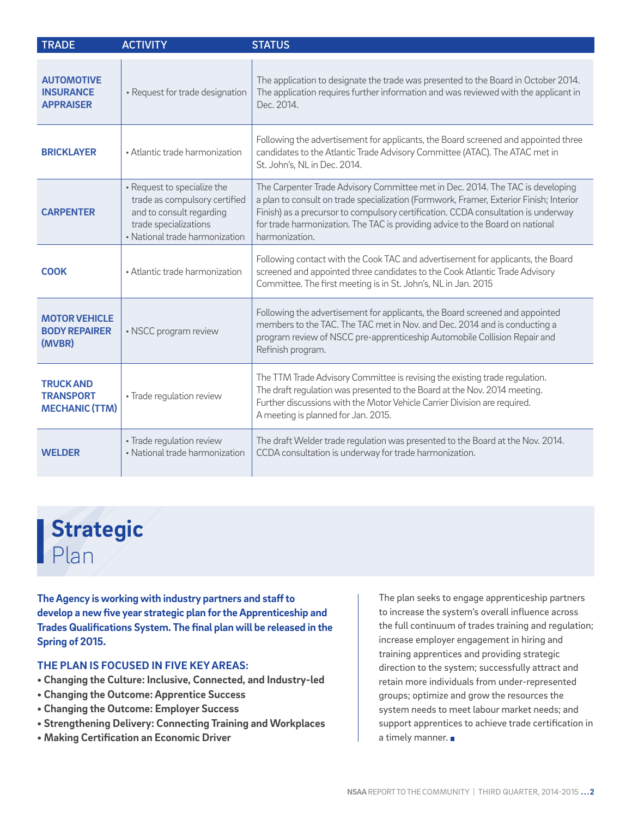| <b>TRADE</b>                                                  | <b>ACTIVITY</b>                                                                                                                                     | <b>STATUS</b>                                                                                                                                                                                                                                                                                                                                                    |
|---------------------------------------------------------------|-----------------------------------------------------------------------------------------------------------------------------------------------------|------------------------------------------------------------------------------------------------------------------------------------------------------------------------------------------------------------------------------------------------------------------------------------------------------------------------------------------------------------------|
| <b>AUTOMOTIVE</b><br><b>INSURANCE</b><br><b>APPRAISER</b>     | • Request for trade designation                                                                                                                     | The application to designate the trade was presented to the Board in October 2014.<br>The application requires further information and was reviewed with the applicant in<br>Dec. 2014.                                                                                                                                                                          |
| <b>BRICKLAYER</b>                                             | • Atlantic trade harmonization                                                                                                                      | Following the advertisement for applicants, the Board screened and appointed three<br>candidates to the Atlantic Trade Advisory Committee (ATAC). The ATAC met in<br>St. John's, NL in Dec. 2014.                                                                                                                                                                |
| <b>CARPENTER</b>                                              | • Request to specialize the<br>trade as compulsory certified<br>and to consult regarding<br>trade specializations<br>• National trade harmonization | The Carpenter Trade Advisory Committee met in Dec. 2014. The TAC is developing<br>a plan to consult on trade specialization (Formwork, Framer, Exterior Finish; Interior<br>Finish) as a precursor to compulsory certification. CCDA consultation is underway<br>for trade harmonization. The TAC is providing advice to the Board on national<br>harmonization. |
| <b>COOK</b>                                                   | • Atlantic trade harmonization                                                                                                                      | Following contact with the Cook TAC and advertisement for applicants, the Board<br>screened and appointed three candidates to the Cook Atlantic Trade Advisory<br>Committee. The first meeting is in St. John's, NL in Jan. 2015                                                                                                                                 |
| <b>MOTOR VEHICLE</b><br><b>BODY REPAIRER</b><br>(MVBR)        | • NSCC program review                                                                                                                               | Following the advertisement for applicants, the Board screened and appointed<br>members to the TAC. The TAC met in Nov. and Dec. 2014 and is conducting a<br>program review of NSCC pre-apprenticeship Automobile Collision Repair and<br>Refinish program.                                                                                                      |
| <b>TRUCK AND</b><br><b>TRANSPORT</b><br><b>MECHANIC (TTM)</b> | · Trade regulation review                                                                                                                           | The TTM Trade Advisory Committee is revising the existing trade regulation.<br>The draft regulation was presented to the Board at the Nov. 2014 meeting.<br>Further discussions with the Motor Vehicle Carrier Division are required.<br>A meeting is planned for Jan. 2015.                                                                                     |
| <b>WEI DER</b>                                                | · Trade regulation review<br>• National trade harmonization                                                                                         | The draft Welder trade regulation was presented to the Board at the Nov. 2014.<br>CCDA consultation is underway for trade harmonization.                                                                                                                                                                                                                         |

## **Strategic**  Plan

**The Agency is working with industry partners and staff to develop a new five year strategic plan for the Apprenticeship and Trades Qualifications System. The final plan will be released in the Spring of 2015.** 

### **THE PLAN IS FOCUSED IN FIVE KEY AREAS:**

- **Changing the Culture: Inclusive, Connected, and Industry-led**
- **Changing the Outcome: Apprentice Success**
- **Changing the Outcome: Employer Success**
- **Strengthening Delivery: Connecting Training and Workplaces**
- **Making Certification an Economic Driver**

The plan seeks to engage apprenticeship partners to increase the system's overall influence across the full continuum of trades training and regulation; increase employer engagement in hiring and training apprentices and providing strategic direction to the system; successfully attract and retain more individuals from under-represented groups; optimize and grow the resources the system needs to meet labour market needs; and support apprentices to achieve trade certification in a timely manner.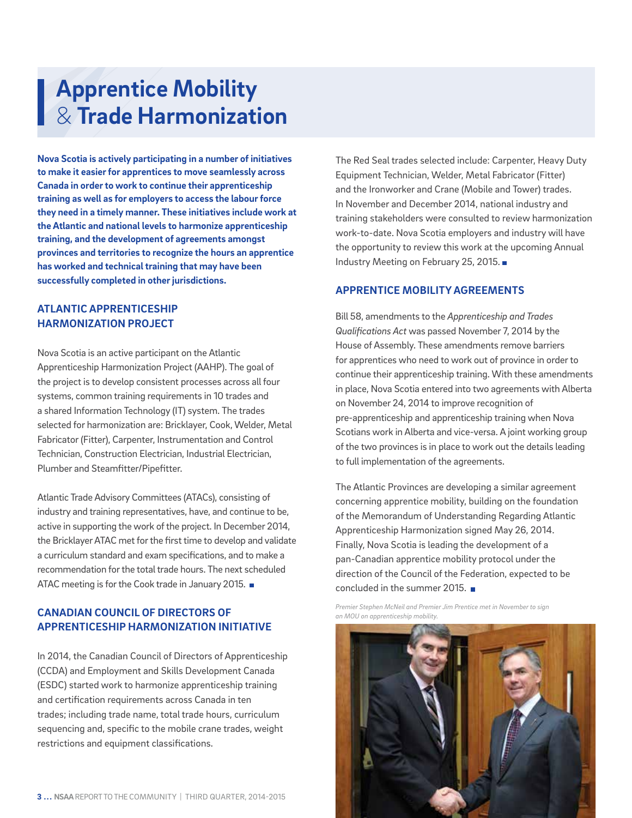## **Apprentice Mobility**  & **Trade Harmonization**

**Nova Scotia is actively participating in a number of initiatives to make it easier for apprentices to move seamlessly across Canada in order to work to continue their apprenticeship training as well as for employers to access the labour force they need in a timely manner. These initiatives include work at the Atlantic and national levels to harmonize apprenticeship training, and the development of agreements amongst provinces and territories to recognize the hours an apprentice has worked and technical training that may have been successfully completed in other jurisdictions.**

### **ATLANTIC APPRENTICESHIP HARMONIZATION PROJECT**

Nova Scotia is an active participant on the Atlantic Apprenticeship Harmonization Project (AAHP). The goal of the project is to develop consistent processes across all four systems, common training requirements in 10 trades and a shared Information Technology (IT) system. The trades selected for harmonization are: Bricklayer, Cook, Welder, Metal Fabricator (Fitter), Carpenter, Instrumentation and Control Technician, Construction Electrician, Industrial Electrician, Plumber and Steamfitter/Pipefitter.

Atlantic Trade Advisory Committees (ATACs), consisting of industry and training representatives, have, and continue to be, active in supporting the work of the project. In December 2014, the Bricklayer ATAC met for the first time to develop and validate a curriculum standard and exam specifications, and to make a recommendation for the total trade hours. The next scheduled ATAC meeting is for the Cook trade in January 2015.

### **CANADIAN COUNCIL OF DIRECTORS OF APPRENTICESHIP HARMONIZATION INITIATIVE**

In 2014, the Canadian Council of Directors of Apprenticeship (CCDA) and Employment and Skills Development Canada (ESDC) started work to harmonize apprenticeship training and certification requirements across Canada in ten trades; including trade name, total trade hours, curriculum sequencing and, specific to the mobile crane trades, weight restrictions and equipment classifications.

The Red Seal trades selected include: Carpenter, Heavy Duty Equipment Technician, Welder, Metal Fabricator (Fitter) and the Ironworker and Crane (Mobile and Tower) trades. In November and December 2014, national industry and training stakeholders were consulted to review harmonization work-to-date. Nova Scotia employers and industry will have the opportunity to review this work at the upcoming Annual Industry Meeting on February 25, 2015.

### **APPRENTICE MOBILITY AGREEMENTS**

Bill 58, amendments to the *Apprenticeship and Trades Qualifications Act* was passed November 7, 2014 by the House of Assembly. These amendments remove barriers for apprentices who need to work out of province in order to continue their apprenticeship training. With these amendments in place, Nova Scotia entered into two agreements with Alberta on November 24, 2014 to improve recognition of pre-apprenticeship and apprenticeship training when Nova Scotians work in Alberta and vice-versa. A joint working group of the two provinces is in place to work out the details leading to full implementation of the agreements.

The Atlantic Provinces are developing a similar agreement concerning apprentice mobility, building on the foundation of the Memorandum of Understanding Regarding Atlantic Apprenticeship Harmonization signed May 26, 2014. Finally, Nova Scotia is leading the development of a pan-Canadian apprentice mobility protocol under the direction of the Council of the Federation, expected to be concluded in the summer 2015.

*Premier Stephen McNeil and Premier Jim Prentice met in November to sign an MOU on apprenticeship mobility.*

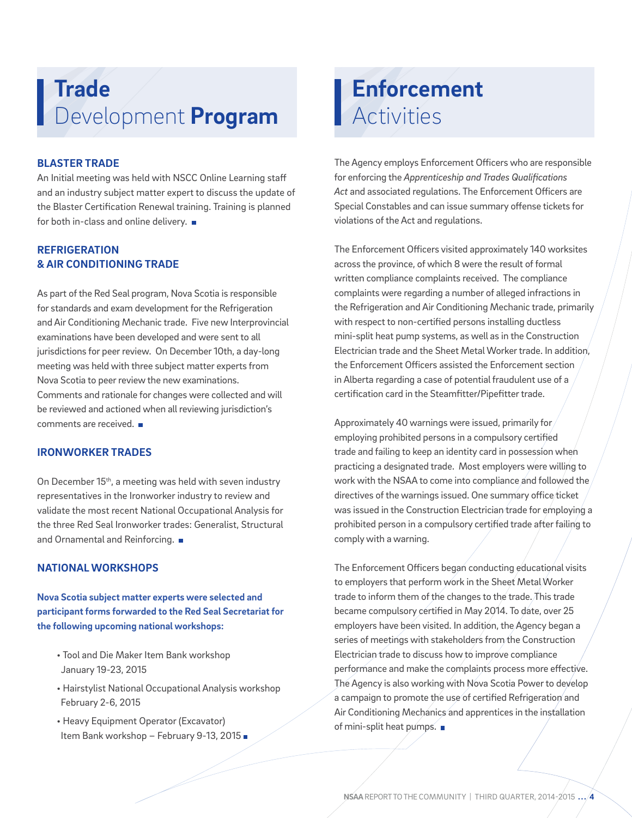## **Trade** Development **Program**

### **BLASTER TRADE**

An Initial meeting was held with NSCC Online Learning staff and an industry subject matter expert to discuss the update of the Blaster Certification Renewal training. Training is planned for both in-class and online delivery.

### **REFRIGERATION & AIR CONDITIONING TRADE**

As part of the Red Seal program, Nova Scotia is responsible for standards and exam development for the Refrigeration and Air Conditioning Mechanic trade. Five new Interprovincial examinations have been developed and were sent to all jurisdictions for peer review. On December 10th, a day-long meeting was held with three subject matter experts from Nova Scotia to peer review the new examinations. Comments and rationale for changes were collected and will be reviewed and actioned when all reviewing jurisdiction's comments are received.

### **IRONWORKER TRADES**

On December 15<sup>th</sup>, a meeting was held with seven industry representatives in the Ironworker industry to review and validate the most recent National Occupational Analysis for the three Red Seal Ironworker trades: Generalist, Structural and Ornamental and Reinforcing.

### **NATIONAL WORKSHOPS**

**Nova Scotia subject matter experts were selected and participant forms forwarded to the Red Seal Secretariat for the following upcoming national workshops:**

- Tool and Die Maker Item Bank workshop January 19-23, 2015
- Hairstylist National Occupational Analysis workshop February 2-6, 2015
- Heavy Equipment Operator (Excavator) Item Bank workshop - February 9-13, 2015 ■

## **Enforcement Activities**

The Agency employs Enforcement Officers who are responsible for enforcing the *Apprenticeship and Trades Qualifications Act* and associated regulations. The Enforcement Officers are Special Constables and can issue summary offense tickets for violations of the Act and regulations.

The Enforcement Officers visited approximately 140 worksites across the province, of which 8 were the result of formal written compliance complaints received. The compliance complaints were regarding a number of alleged infractions in the Refrigeration and Air Conditioning Mechanic trade, primarily with respect to non-certified persons installing ductless mini-split heat pump systems, as well as in the Construction Electrician trade and the Sheet Metal Worker trade. In addition, the Enforcement Officers assisted the Enforcement section in Alberta regarding a case of potential fraudulent use of a certification card in the Steamfitter/Pipefitter trade.

Approximately 40 warnings were issued, primarily for employing prohibited persons in a compulsory certified trade and failing to keep an identity card in possession when practicing a designated trade. Most employers were willing to work with the NSAA to come into compliance and followed the directives of the warnings issued. One summary office/ticket was issued in the Construction Electrician trade for employing a prohibited person in a compulsory certified trade after failing to comply with a warning.

The Enforcement Officers began conducting educational visits to employers that perform work in the Sheet Metal Worker trade to inform them of the changes to the trade. This trade became compulsory certified in May 2014. To date, over 25 employers have been visited. In addition, the Agency began a series of meetings with stakeholders from the Construction Electrician trade to discuss how to improve compliance performance and make the complaints process more effective. The Agency is also working with Nova Scotia Power to develop a campaign to promote the use of certified Refrigeration and Air Conditioning Mechanics and apprentices in the installation of mini-split heat pumps.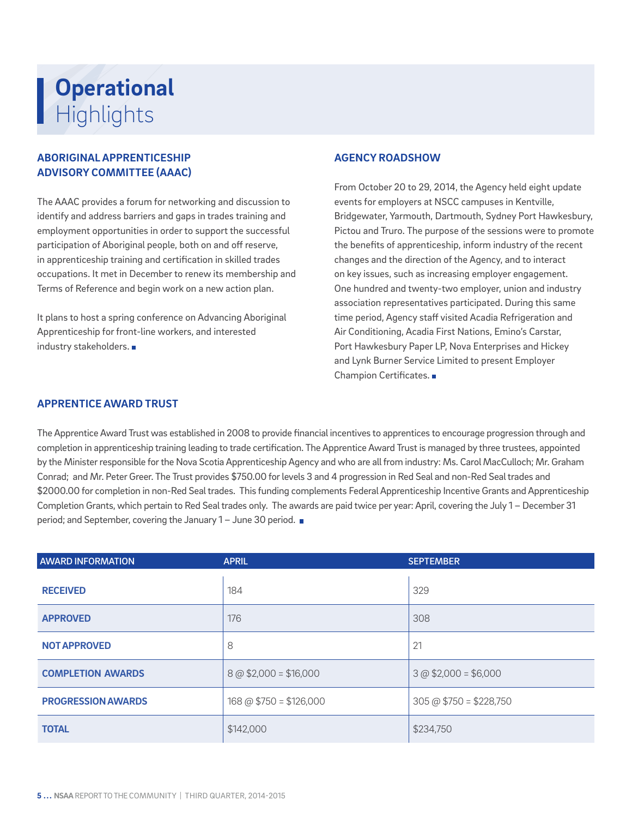## **Operational** Uper

### **ABORIGINAL APPRENTICESHIP ADVISORY COMMITTEE (AAAC)**

The AAAC provides a forum for networking and discussion to identify and address barriers and gaps in trades training and employment opportunities in order to support the successful participation of Aboriginal people, both on and off reserve, in apprenticeship training and certification in skilled trades occupations. It met in December to renew its membership and Terms of Reference and begin work on a new action plan.

It plans to host a spring conference on Advancing Aboriginal Apprenticeship for front-line workers, and interested industry stakeholders.

#### **AGENCY ROADSHOW**

From October 20 to 29, 2014, the Agency held eight update events for employers at NSCC campuses in Kentville, Bridgewater, Yarmouth, Dartmouth, Sydney Port Hawkesbury, Pictou and Truro. The purpose of the sessions were to promote the benefits of apprenticeship, inform industry of the recent changes and the direction of the Agency, and to interact on key issues, such as increasing employer engagement. One hundred and twenty-two employer, union and industry association representatives participated. During this same time period, Agency staff visited Acadia Refrigeration and Air Conditioning, Acadia First Nations, Emino's Carstar, Port Hawkesbury Paper LP, Nova Enterprises and Hickey and Lynk Burner Service Limited to present Employer Champion Certificates.

### **APPRENTICE AWARD TRUST**

The Apprentice Award Trust was established in 2008 to provide financial incentives to apprentices to encourage progression through and completion in apprenticeship training leading to trade certification. The Apprentice Award Trust is managed by three trustees, appointed by the Minister responsible for the Nova Scotia Apprenticeship Agency and who are all from industry: Ms. Carol MacCulloch; Mr. Graham Conrad; and Mr. Peter Greer. The Trust provides \$750.00 for levels 3 and 4 progression in Red Seal and non-Red Seal trades and \$2000.00 for completion in non-Red Seal trades. This funding complements Federal Apprenticeship Incentive Grants and Apprenticeship Completion Grants, which pertain to Red Seal trades only. The awards are paid twice per year: April, covering the July 1 – December 31 period; and September, covering the January 1 – June 30 period.

| <b>AWARD INFORMATION</b>  | <b>APRIL</b>              | <b>SEPTEMBER</b>                 |
|---------------------------|---------------------------|----------------------------------|
| <b>RECEIVED</b>           | 184                       | 329                              |
| <b>APPROVED</b>           | 176                       | 308                              |
| <b>NOT APPROVED</b>       | 8                         | 21                               |
| <b>COMPLETION AWARDS</b>  | $8$ @ \$2,000 = \$16,000  | $3 @ $2,000 = $6,000$            |
| <b>PROGRESSION AWARDS</b> | $168$ @ \$750 = \$126,000 | $305 \text{ @ } $750 = $228,750$ |
| <b>TOTAL</b>              | \$142,000                 | \$234,750                        |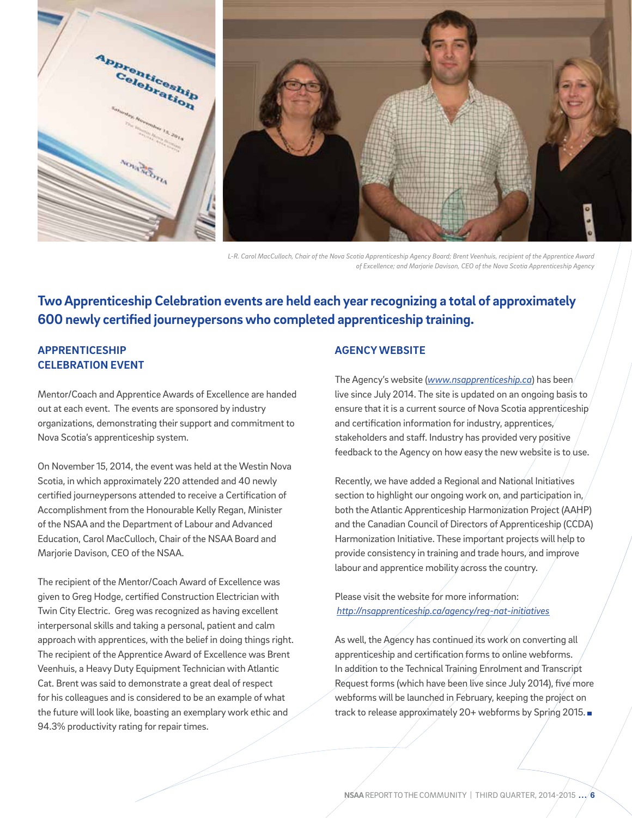

*L-R. Carol MacCulloch, Chair of the Nova Scotia Apprenticeship Agency Board; Brent Veenhuis, recipient of the Apprentice Award of Excellence; and Marjorie Davison, CEO of the Nova Scotia Apprenticeship Agency*

### **Two Apprenticeship Celebration events are held each year recognizing a total of approximately 600 newly certified journeypersons who completed apprenticeship training.**

### **APPRENTICESHIP CELEBRATION EVENT**

Mentor/Coach and Apprentice Awards of Excellence are handed out at each event. The events are sponsored by industry organizations, demonstrating their support and commitment to Nova Scotia's apprenticeship system.

On November 15, 2014, the event was held at the Westin Nova Scotia, in which approximately 220 attended and 40 newly certified journeypersons attended to receive a Certification of Accomplishment from the Honourable Kelly Regan, Minister of the NSAA and the Department of Labour and Advanced Education, Carol MacCulloch, Chair of the NSAA Board and Marjorie Davison, CEO of the NSAA.

The recipient of the Mentor/Coach Award of Excellence was given to Greg Hodge, certified Construction Electrician with Twin City Electric. Greg was recognized as having excellent interpersonal skills and taking a personal, patient and calm approach with apprentices, with the belief in doing things right. The recipient of the Apprentice Award of Excellence was Brent Veenhuis, a Heavy Duty Equipment Technician with Atlantic Cat. Brent was said to demonstrate a great deal of respect for his colleagues and is considered to be an example of what the future will look like, boasting an exemplary work ethic and 94.3% productivity rating for repair times.

### **AGENCY WEBSITE**

The Agency's website (*www.nsapprenticeship.ca*) has been live since July 2014. The site is updated on an ongoing basis to ensure that it is a current source of Nova Scotia apprenticeship and certification information for industry, apprentices, stakeholders and staff. Industry has provided very positive feedback to the Agency on how easy the new website is to use.

Recently, we have added a Regional and National Initiatives section to highlight our ongoing work on, and participation in, both the Atlantic Apprenticeship Harmonization Project (AAHP) and the Canadian Council of Directors of Apprenticeship (CCDA) Harmonization Initiative. These important projects will help to provide consistency in training and trade hours, and improve labour and apprentice mobility across the country.

Please visit the website for more information: *http://nsapprenticeship.ca/agency/reg-nat-initiatives*

As well, the Agency has continued its work on converting all apprenticeship and certification forms to online webforms. In addition to the Technical Training Enrolment and Transcript Request forms (which have been live since July 2014), five more webforms will be launched in February, keeping the project on track to release approximately 20+ webforms by Spring 2015.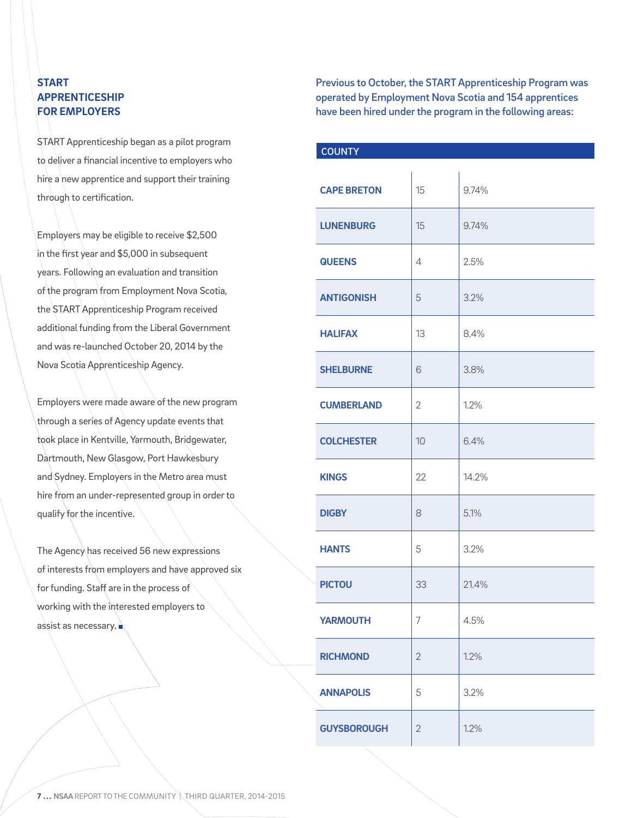### **START APPRENTICESHIP FOR EMPLOYERS**

START Apprenticeship began as a pilot program to deliver a financial incentive to employers who hire a new apprentice and support their training through to certification.

Employers may be eligible to receive \$2,500 in the first year and \$5,000 in subsequent years. Following an evaluation and transition of the program from Employment Nova Scotia, the START Apprenticeship Program received additional funding from the Liberal Government and was re-launched October 20, 2014 by the Nova Scotia Apprenticeship Agency.

Employers were made aware of the new program through a series of Agency update events that took place in Kentville, Yarmouth, Bridgewater, Dartmouth, New Glasgow, Port Hawkesbury and Sydney. Employers in the Metro area must hire from an under-represented group in order to qualify for the incentive.

The Agency has received 56 new expressions of interests from employers and have approved six for funding. Staff are in the process of working with the interested employers to assist as necessary.

Previous to October, the START Apprenticeship Program was operated by Employment Nova Scotia and 154 apprentices have been hired under the program in the following areas:

| <b>COUNTY</b>      |                |       |
|--------------------|----------------|-------|
| <b>CAPE BRETON</b> | 15             | 9.74% |
| <b>LUNENBURG</b>   | 15             | 9.74% |
| <b>QUEENS</b>      | 4              | 2.5%  |
| <b>ANTIGONISH</b>  | 5              | 3.2%  |
| <b>HALIFAX</b>     | 13             | 8.4%  |
| <b>SHELBURNE</b>   | 6              | 3.8%  |
| <b>CUMBERLAND</b>  | $\overline{2}$ | 1.2%  |
| <b>COLCHESTER</b>  | 10             | 6.4%  |
| <b>KINGS</b>       | 22             | 14.2% |
| <b>DIGBY</b>       | 8              | 5.1%  |
| <b>HANTS</b>       | 5              | 3.2%  |
| <b>PICTOU</b>      | 33             | 21.4% |
| <b>YARMOUTH</b>    | 7              | 4.5%  |
| <b>RICHMOND</b>    | $\overline{2}$ | 1.2%  |
| <b>ANNAPOLIS</b>   | 5              | 3.2%  |
| <b>GUYSBOROUGH</b> | $\overline{2}$ | 1.2%  |

**7... NSAA** REPORT TO THE COMMUNITY \THIRD QUARTER, 2014-2015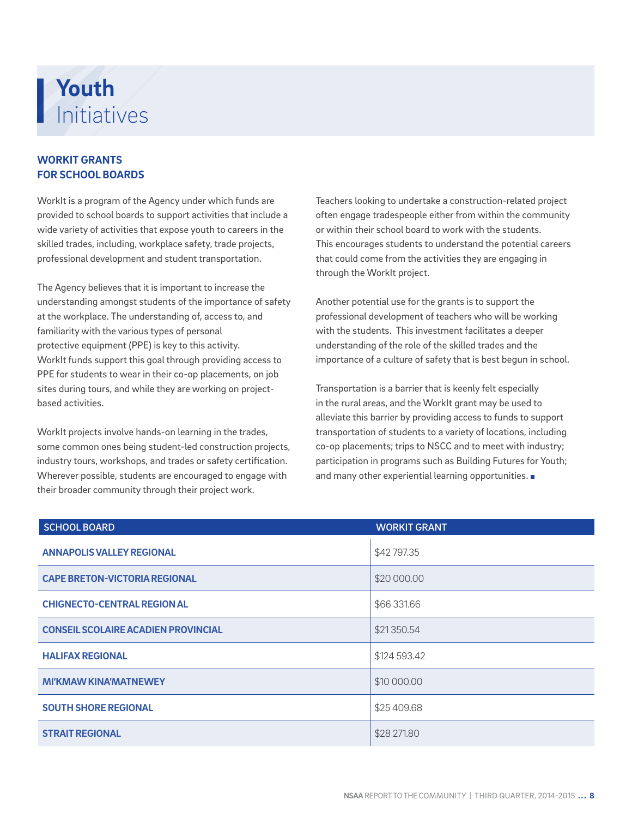## **Youth** Initiatives

### **WORKIT GRANTS FOR SCHOOL BOARDS**

WorkIt is a program of the Agency under which funds are provided to school boards to support activities that include a wide variety of activities that expose youth to careers in the skilled trades, including, workplace safety, trade projects, professional development and student transportation.

The Agency believes that it is important to increase the understanding amongst students of the importance of safety at the workplace. The understanding of, access to, and familiarity with the various types of personal protective equipment (PPE) is key to this activity. WorkIt funds support this goal through providing access to PPE for students to wear in their co-op placements, on job sites during tours, and while they are working on projectbased activities.

WorkIt projects involve hands-on learning in the trades, some common ones being student-led construction projects, industry tours, workshops, and trades or safety certification. Wherever possible, students are encouraged to engage with their broader community through their project work.

Teachers looking to undertake a construction-related project often engage tradespeople either from within the community or within their school board to work with the students. This encourages students to understand the potential careers that could come from the activities they are engaging in through the WorkIt project.

Another potential use for the grants is to support the professional development of teachers who will be working with the students. This investment facilitates a deeper understanding of the role of the skilled trades and the importance of a culture of safety that is best begun in school.

Transportation is a barrier that is keenly felt especially in the rural areas, and the WorkIt grant may be used to alleviate this barrier by providing access to funds to support transportation of students to a variety of locations, including co-op placements; trips to NSCC and to meet with industry; participation in programs such as Building Futures for Youth; and many other experiential learning opportunities.

| <b>SCHOOL BOARD</b>                        | <b>WORKIT GRANT</b> |
|--------------------------------------------|---------------------|
| <b>ANNAPOLIS VALLEY REGIONAL</b>           | \$42797.35          |
| <b>CAPE BRETON-VICTORIA REGIONAL</b>       | \$20 000.00         |
| <b>CHIGNECTO-CENTRAL REGION AL</b>         | \$66 331.66         |
| <b>CONSEIL SCOLAIRE ACADIEN PROVINCIAL</b> | \$21350.54          |
| <b>HALIFAX REGIONAL</b>                    | \$124 593.42        |
| <b>MI'KMAW KINA'MATNEWEY</b>               | \$10 000.00         |
| <b>SOUTH SHORE REGIONAL</b>                | \$25 409.68         |
| <b>STRAIT REGIONAL</b>                     | \$28 271.80         |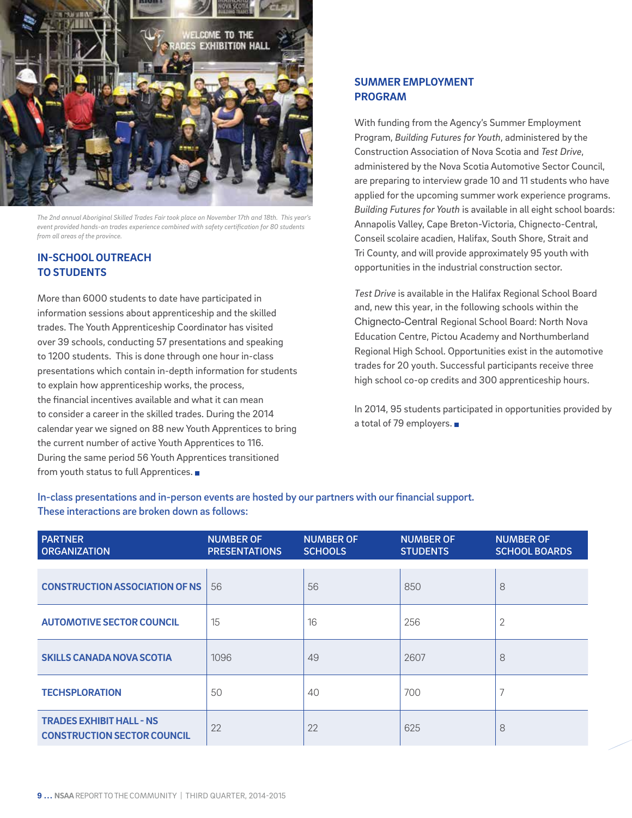

*The 2nd annual Aboriginal Skilled Trades Fair took place on November 17th and 18th. This year's event provided hands-on trades experience combined with safety certification for 80 students from all areas of the province.*

### **IN-SCHOOL OUTREACH TO STUDENTS**

More than 6000 students to date have participated in information sessions about apprenticeship and the skilled trades. The Youth Apprenticeship Coordinator has visited over 39 schools, conducting 57 presentations and speaking to 1200 students. This is done through one hour in-class presentations which contain in-depth information for students to explain how apprenticeship works, the process, the financial incentives available and what it can mean to consider a career in the skilled trades. During the 2014 calendar year we signed on 88 new Youth Apprentices to bring the current number of active Youth Apprentices to 116. During the same period 56 Youth Apprentices transitioned from youth status to full Apprentices.

### **SUMMER EMPLOYMENT PROGRAM**

With funding from the Agency's Summer Employment Program, *Building Futures for Youth*, administered by the Construction Association of Nova Scotia and *Test Drive*, administered by the Nova Scotia Automotive Sector Council, are preparing to interview grade 10 and 11 students who have applied for the upcoming summer work experience programs. *Building Futures for Youth* is available in all eight school boards: Annapolis Valley, Cape Breton-Victoria, Chignecto-Central, Conseil scolaire acadien, Halifax, South Shore, Strait and Tri County, and will provide approximately 95 youth with opportunities in the industrial construction sector.

*Test Drive* is available in the Halifax Regional School Board and, new this year, in the following schools within the Chignecto-Central Regional School Board: North Nova Education Centre, Pictou Academy and Northumberland Regional High School. Opportunities exist in the automotive trades for 20 youth. Successful participants receive three high school co-op credits and 300 apprenticeship hours.

In 2014, 95 students participated in opportunities provided by a total of 79 employers.

In-class presentations and in-person events are hosted by our partners with our financial support. These interactions are broken down as follows:

| <b>PARTNER</b><br><b>ORGANIZATION</b>                                 | <b>NUMBER OF</b><br><b>PRESENTATIONS</b> | <b>NUMBER OF</b><br><b>SCHOOLS</b> | <b>NUMBER OF</b><br><b>STUDENTS</b> | <b>NUMBER OF</b><br><b>SCHOOL BOARDS</b> |
|-----------------------------------------------------------------------|------------------------------------------|------------------------------------|-------------------------------------|------------------------------------------|
|                                                                       |                                          |                                    |                                     |                                          |
| <b>CONSTRUCTION ASSOCIATION OF NS</b>                                 | 56                                       | 56                                 | 850                                 | 8                                        |
| <b>AUTOMOTIVE SECTOR COUNCIL</b>                                      | 15                                       | 16                                 | 256                                 | 2                                        |
| <b>SKILLS CANADA NOVA SCOTIA</b>                                      | 1096                                     | 49                                 | 2607                                | 8                                        |
| <b>TECHSPLORATION</b>                                                 | 50                                       | 40                                 | 700                                 | ⇁                                        |
| <b>TRADES EXHIBIT HALL - NS</b><br><b>CONSTRUCTION SECTOR COUNCIL</b> | 22                                       | 22                                 | 625                                 | 8                                        |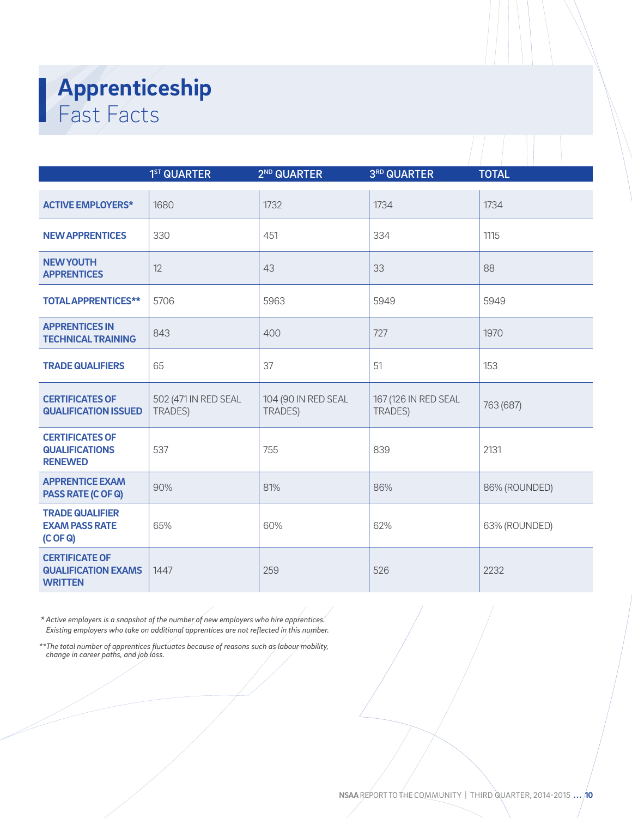## **Apprenticeship** Fast Facts

|                                                                       | 1 <sup>ST</sup> QUARTER         | 2 <sup>ND</sup> QUARTER               | 3RD QUARTER                     | <b>TOTAL</b>  |
|-----------------------------------------------------------------------|---------------------------------|---------------------------------------|---------------------------------|---------------|
|                                                                       |                                 |                                       |                                 |               |
| <b>ACTIVE EMPLOYERS*</b>                                              | 1680                            | 1732                                  | 1734                            | 1734          |
| <b>NEW APPRENTICES</b>                                                | 330                             | 451                                   | 334                             | 1115          |
| <b>NEW YOUTH</b><br><b>APPRENTICES</b>                                | 12                              | 43                                    | 33                              | 88            |
| <b>TOTAL APPRENTICES**</b>                                            | 5706                            | 5963                                  | 5949                            | 5949          |
| <b>APPRENTICES IN</b><br><b>TECHNICAL TRAINING</b>                    | 843                             | 400                                   | 727                             | 1970          |
| <b>TRADE QUALIFIERS</b>                                               | 65                              | 37                                    | 51                              | 153           |
| <b>CERTIFICATES OF</b><br><b>QUALIFICATION ISSUED</b>                 | 502 (471 IN RED SEAL<br>TRADES) | 104 (90 IN RED SEAL<br><b>TRADES)</b> | 167 (126 IN RED SEAL<br>TRADES) | 763 (687)     |
| <b>CERTIFICATES OF</b><br><b>QUALIFICATIONS</b><br><b>RENEWED</b>     | 537                             | 755                                   | 839                             | 2131          |
| <b>APPRENTICE EXAM</b><br><b>PASS RATE (C OF Q)</b>                   | 90%                             | 81%                                   | 86%                             | 86% (ROUNDED) |
| <b>TRADE QUALIFIER</b><br><b>EXAM PASS RATE</b><br>(C OF Q)           | 65%                             | 60%                                   | 62%                             | 63% (ROUNDED) |
| <b>CERTIFICATE OF</b><br><b>QUALIFICATION EXAMS</b><br><b>WRITTEN</b> | 1447                            | 259                                   | 526                             | 2232          |

 *\* Active employers is a snapshot of the number of new employers who hire apprentices. Existing employers who take on additional apprentices are not reflected in this number.*

*\*\*The total number of apprentices fluctuates because of reasons such as labour mobility, change in career paths, and job loss.*